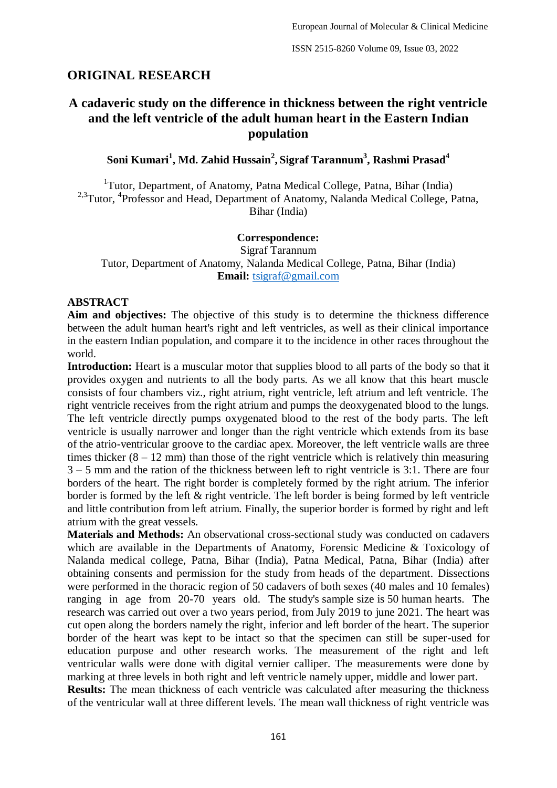## **ORIGINAL RESEARCH**

# **A cadaveric study on the difference in thickness between the right ventricle and the left ventricle of the adult human heart in the Eastern Indian population**

**Soni Kumari<sup>1</sup> , Md. Zahid Hussain<sup>2</sup> , Sigraf Tarannum<sup>3</sup> , Rashmi Prasad<sup>4</sup>**

<sup>1</sup>Tutor, Department, of Anatomy, Patna Medical College, Patna, Bihar (India) <sup>2,3</sup>Tutor, <sup>4</sup>Professor and Head, Department of Anatomy, Nalanda Medical College, Patna, Bihar (India)

#### **Correspondence:**

Sigraf Tarannum Tutor, Department of Anatomy, Nalanda Medical College, Patna, Bihar (India) **Email:** [tsigraf@gmail.com](about:blank)

#### **ABSTRACT**

**Aim and objectives:** The objective of this study is to determine the thickness difference between the adult human heart's right and left ventricles, as well as their clinical importance in the eastern Indian population, and compare it to the incidence in other races throughout the world.

**Introduction:** Heart is a muscular motor that supplies blood to all parts of the body so that it provides oxygen and nutrients to all the body parts. As we all know that this heart muscle consists of four chambers viz., right atrium, right ventricle, left atrium and left ventricle. The right ventricle receives from the right atrium and pumps the deoxygenated blood to the lungs. The left ventricle directly pumps oxygenated blood to the rest of the body parts. The left ventricle is usually narrower and longer than the right ventricle which extends from its base of the atrio-ventricular groove to the cardiac apex. Moreover, the left ventricle walls are three times thicker  $(8 - 12 \text{ mm})$  than those of the right ventricle which is relatively thin measuring 3 – 5 mm and the ration of the thickness between left to right ventricle is 3:1. There are four borders of the heart. The right border is completely formed by the right atrium. The inferior border is formed by the left & right ventricle. The left border is being formed by left ventricle and little contribution from left atrium. Finally, the superior border is formed by right and left atrium with the great vessels.

**Materials and Methods:** An observational cross-sectional study was conducted on cadavers which are available in the Departments of Anatomy, Forensic Medicine & Toxicology of Nalanda medical college, Patna, Bihar (India), Patna Medical, Patna, Bihar (India) after obtaining consents and permission for the study from heads of the department. Dissections were performed in the thoracic region of 50 cadavers of both sexes (40 males and 10 females) ranging in age from 20-70 years old. The study's sample size is 50 human hearts. The research was carried out over a two years period, from July 2019 to june 2021. The heart was cut open along the borders namely the right, inferior and left border of the heart. The superior border of the heart was kept to be intact so that the specimen can still be super-used for education purpose and other research works. The measurement of the right and left ventricular walls were done with digital vernier calliper. The measurements were done by marking at three levels in both right and left ventricle namely upper, middle and lower part.

**Results:** The mean thickness of each ventricle was calculated after measuring the thickness of the ventricular wall at three different levels. The mean wall thickness of right ventricle was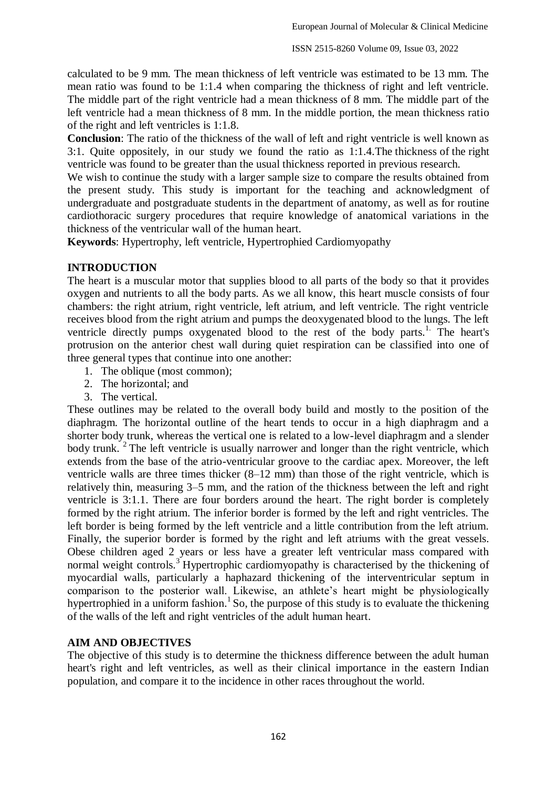calculated to be 9 mm. The mean thickness of left ventricle was estimated to be 13 mm. The mean ratio was found to be 1:1.4 when comparing the thickness of right and left ventricle. The middle part of the right ventricle had a mean thickness of 8 mm. The middle part of the left ventricle had a mean thickness of 8 mm. In the middle portion, the mean thickness ratio of the right and left ventricles is 1:1.8.

**Conclusion**: The ratio of the thickness of the wall of left and right ventricle is well known as 3:1. Quite oppositely, in our study we found the ratio as 1:1.4.The thickness of the right ventricle was found to be greater than the usual thickness reported in previous research.

We wish to continue the study with a larger sample size to compare the results obtained from the present study. This study is important for the teaching and acknowledgment of undergraduate and postgraduate students in the department of anatomy, as well as for routine cardiothoracic surgery procedures that require knowledge of anatomical variations in the thickness of the ventricular wall of the human heart.

**Keywords**: Hypertrophy, left ventricle, Hypertrophied Cardiomyopathy

### **INTRODUCTION**

The heart is a muscular motor that supplies blood to all parts of the body so that it provides oxygen and nutrients to all the body parts. As we all know, this heart muscle consists of four chambers: the right atrium, right ventricle, left atrium, and left ventricle. The right ventricle receives blood from the right atrium and pumps the deoxygenated blood to the lungs. The left ventricle directly pumps oxygenated blood to the rest of the body parts.<sup>1.</sup> The heart's protrusion on the anterior chest wall during quiet respiration can be classified into one of three general types that continue into one another:

- 1. The oblique (most common);
- 2. The horizontal; and
- 3. The vertical.

These outlines may be related to the overall body build and mostly to the position of the diaphragm. The horizontal outline of the heart tends to occur in a high diaphragm and a shorter body trunk, whereas the vertical one is related to a low-level diaphragm and a slender body trunk.  $2$  The left ventricle is usually narrower and longer than the right ventricle, which extends from the base of the atrio-ventricular groove to the cardiac apex. Moreover, the left ventricle walls are three times thicker (8–12 mm) than those of the right ventricle, which is relatively thin, measuring 3–5 mm, and the ration of the thickness between the left and right ventricle is 3:1.1. There are four borders around the heart. The right border is completely formed by the right atrium. The inferior border is formed by the left and right ventricles. The left border is being formed by the left ventricle and a little contribution from the left atrium. Finally, the superior border is formed by the right and left atriums with the great vessels. Obese children aged 2 years or less have a greater left ventricular mass compared with normal weight controls.<sup>3</sup> Hypertrophic cardiomyopathy is characterised by the thickening of myocardial walls, particularly a haphazard thickening of the interventricular septum in comparison to the posterior wall. Likewise, an athlete's heart might be physiologically hypertrophied in a uniform fashion.<sup>1</sup> So, the purpose of this study is to evaluate the thickening of the walls of the left and right ventricles of the adult human heart.

### **AIM AND OBJECTIVES**

The objective of this study is to determine the thickness difference between the adult human heart's right and left ventricles, as well as their clinical importance in the eastern Indian population, and compare it to the incidence in other races throughout the world.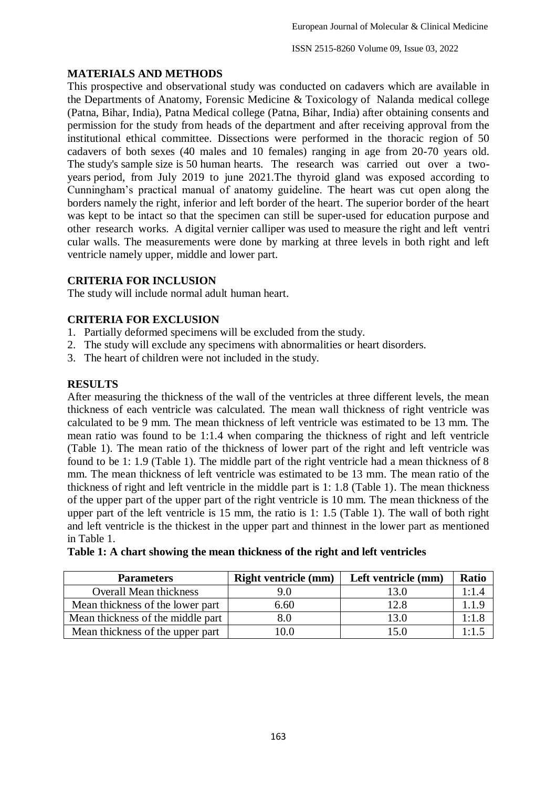### **MATERIALS AND METHODS**

This prospective and observational study was conducted on cadavers which are available in the Departments of Anatomy, Forensic Medicine & Toxicology of Nalanda medical college (Patna, Bihar, India), Patna Medical college (Patna, Bihar, India) after obtaining consents and permission for the study from heads of the department and after receiving approval from the institutional ethical committee. Dissections were performed in the thoracic region of 50 cadavers of both sexes (40 males and 10 females) ranging in age from 20-70 years old. The study's sample size is 50 human hearts. The research was carried out over a twoyears period, from July 2019 to june 2021.The thyroid gland was exposed according to Cunningham's practical manual of anatomy guideline. The heart was cut open along the borders namely the right, inferior and left border of the heart. The superior border of the heart was kept to be intact so that the specimen can still be super-used for education purpose and other research works. A digital vernier calliper was used to measure the right and left ventri cular walls. The measurements were done by marking at three levels in both right and left ventricle namely upper, middle and lower part.

### **CRITERIA FOR INCLUSION**

The study will include normal adult human heart.

### **CRITERIA FOR EXCLUSION**

- 1. Partially deformed specimens will be excluded from the study.
- 2. The study will exclude any specimens with abnormalities or heart disorders.
- 3. The heart of children were not included in the study.

### **RESULTS**

After measuring the thickness of the wall of the ventricles at three different levels, the mean thickness of each ventricle was calculated. The mean wall thickness of right ventricle was calculated to be 9 mm. The mean thickness of left ventricle was estimated to be 13 mm. The mean ratio was found to be 1:1.4 when comparing the thickness of right and left ventricle (Table 1). The mean ratio of the thickness of lower part of the right and left ventricle was found to be 1: 1.9 (Table 1). The middle part of the right ventricle had a mean thickness of 8 mm. The mean thickness of left ventricle was estimated to be 13 mm. The mean ratio of the thickness of right and left ventricle in the middle part is 1: 1.8 (Table 1). The mean thickness of the upper part of the upper part of the right ventricle is 10 mm. The mean thickness of the upper part of the left ventricle is 15 mm, the ratio is 1: 1.5 (Table 1). The wall of both right and left ventricle is the thickest in the upper part and thinnest in the lower part as mentioned in Table 1.

| Table 1: A chart showing the mean thickness of the right and left ventricles |  |  |  |
|------------------------------------------------------------------------------|--|--|--|
|                                                                              |  |  |  |

| <b>Parameters</b>                 | <b>Right ventricle (mm)</b> | Left ventricle (mm) | <b>Ratio</b> |
|-----------------------------------|-----------------------------|---------------------|--------------|
| <b>Overall Mean thickness</b>     | 9.0                         | 13.0                | 1:1.4        |
| Mean thickness of the lower part  | 6.60                        | 12.8                | 1.1.9        |
| Mean thickness of the middle part | $8.0\,$                     | 13.0                | 1:1.8        |
| Mean thickness of the upper part  | 0.0                         | 15.0                | 1:1.5        |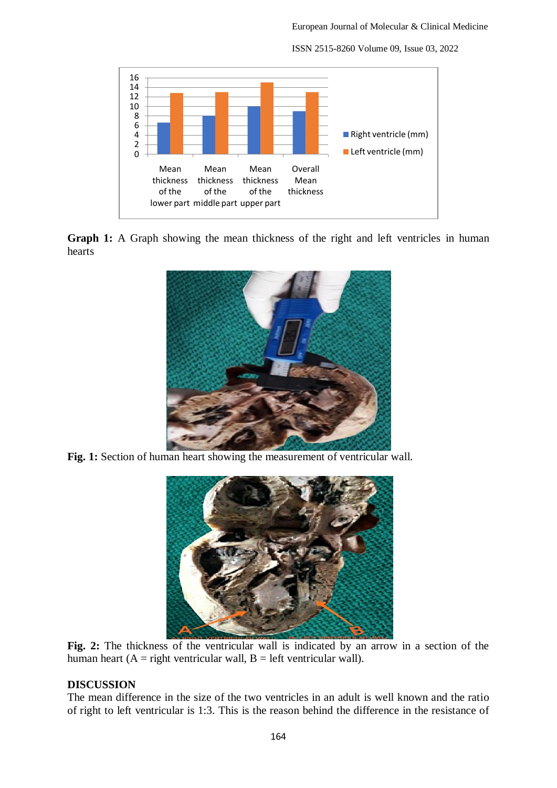ISSN 2515-8260 Volume 09, Issue 03, 2022



Graph 1: A Graph showing the mean thickness of the right and left ventricles in human hearts



**Fig. 1:** Section of human heart showing the measurement of ventricular wall.



**Fig. 2:** The thickness of the ventricular wall is indicated by an arrow in a section of the human heart  $(A = right$  ventricular wall,  $B = left$  ventricular wall).

### **DISCUSSION**

The mean difference in the size of the two ventricles in an adult is well known and the ratio of right to left ventricular is 1:3. This is the reason behind the difference in the resistance of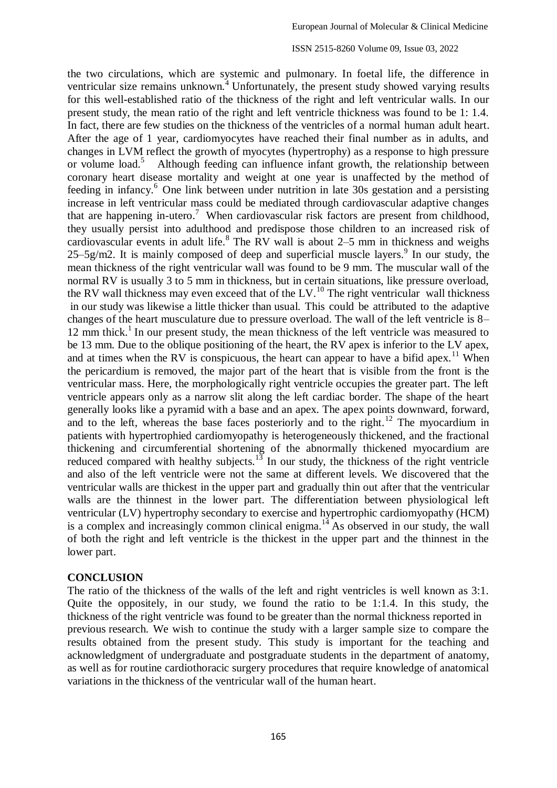#### ISSN 2515-8260 Volume 09, Issue 03, 2022

the two circulations, which are systemic and pulmonary. In foetal life, the difference in ventricular size remains unknown.<sup>4</sup> Unfortunately, the present study showed varying results for this well-established ratio of the thickness of the right and left ventricular walls. In our present study, the mean ratio of the right and left ventricle thickness was found to be 1: 1.4. In fact, there are few studies on the thickness of the ventricles of a normal human adult heart. After the age of 1 year, cardiomyocytes have reached their final number as in adults, and changes in LVM reflect the growth of myocytes (hypertrophy) as a response to high pressure or volume load.<sup>5</sup> Although feeding can influence infant growth, the relationship between coronary heart disease mortality and weight at one year is unaffected by the method of feeding in infancy.<sup>6</sup> One link between under nutrition in late 30s gestation and a persisting increase in left ventricular mass could be mediated through cardiovascular adaptive changes that are happening in-utero.<sup>7</sup> When cardiovascular risk factors are present from childhood, they usually persist into adulthood and predispose those children to an increased risk of cardiovascular events in adult life.<sup>8</sup> The RV wall is about 2–5 mm in thickness and weighs  $25 - 5g/m$ 2. It is mainly composed of deep and superficial muscle layers.<sup>9</sup> In our study, the mean thickness of the right ventricular wall was found to be 9 mm. The muscular wall of the normal RV is usually 3 to 5 mm in thickness, but in certain situations, like pressure overload, the RV wall thickness may even exceed that of the LV.<sup>10</sup> The right ventricular wall thickness in our study was likewise a little thicker than usual. This could be attributed to the adaptive changes of the heart musculature due to pressure overload. The wall of the left ventricle is 8– 12 mm thick.<sup>1</sup> In our present study, the mean thickness of the left ventricle was measured to be 13 mm. Due to the oblique positioning of the heart, the RV apex is inferior to the LV apex, and at times when the RV is conspicuous, the heart can appear to have a bifid apex.<sup>11</sup> When the pericardium is removed, the major part of the heart that is visible from the front is the ventricular mass. Here, the morphologically right ventricle occupies the greater part. The left ventricle appears only as a narrow slit along the left cardiac border. The shape of the heart generally looks like a pyramid with a base and an apex. The apex points downward, forward, and to the left, whereas the base faces posteriorly and to the right.<sup>12</sup> The myocardium in patients with hypertrophied cardiomyopathy is heterogeneously thickened, and the fractional thickening and circumferential shortening of the abnormally thickened myocardium are reduced compared with healthy subjects. $13$  In our study, the thickness of the right ventricle and also of the left ventricle were not the same at different levels. We discovered that the ventricular walls are thickest in the upper part and gradually thin out after that the ventricular walls are the thinnest in the lower part. The differentiation between physiological left ventricular (LV) hypertrophy secondary to exercise and hypertrophic cardiomyopathy (HCM) is a complex and increasingly common clinical enigma.<sup>14</sup> As observed in our study, the wall of both the right and left ventricle is the thickest in the upper part and the thinnest in the lower part.

### **CONCLUSION**

The ratio of the thickness of the walls of the left and right ventricles is well known as 3:1. Quite the oppositely, in our study, we found the ratio to be 1:1.4. In this study, the thickness of the right ventricle was found to be greater than the normal thickness reported in previous research. We wish to continue the study with a larger sample size to compare the results obtained from the present study. This study is important for the teaching and acknowledgment of undergraduate and postgraduate students in the department of anatomy, as well as for routine cardiothoracic surgery procedures that require knowledge of anatomical variations in the thickness of the ventricular wall of the human heart.